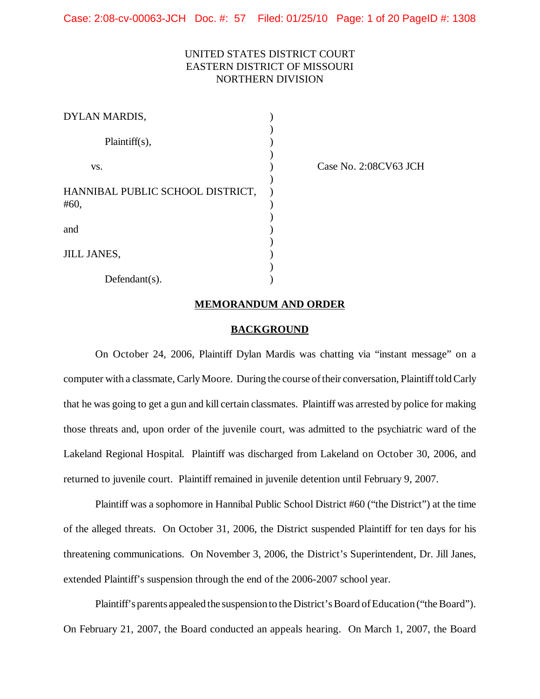Case: 2:08-cv-00063-JCH Doc. #: 57 Filed: 01/25/10 Page: 1 of 20 PageID #: 1308

# UNITED STATES DISTRICT COURT EASTERN DISTRICT OF MISSOURI NORTHERN DIVISION

| DYLAN MARDIS,                            |  |
|------------------------------------------|--|
| $Plaintiff(s)$ ,                         |  |
| VS.                                      |  |
| HANNIBAL PUBLIC SCHOOL DISTRICT,<br>#60, |  |
| and                                      |  |
| <b>JILL JANES,</b>                       |  |
| $Defendant(s)$ .                         |  |

Case No. 2:08CV63 JCH

#### **MEMORANDUM AND ORDER**

#### **BACKGROUND**

On October 24, 2006, Plaintiff Dylan Mardis was chatting via "instant message" on a computer with a classmate, Carly Moore. During the course of their conversation, Plaintiff told Carly that he was going to get a gun and kill certain classmates. Plaintiff was arrested by police for making those threats and, upon order of the juvenile court, was admitted to the psychiatric ward of the Lakeland Regional Hospital. Plaintiff was discharged from Lakeland on October 30, 2006, and returned to juvenile court. Plaintiff remained in juvenile detention until February 9, 2007.

Plaintiff was a sophomore in Hannibal Public School District #60 ("the District") at the time of the alleged threats. On October 31, 2006, the District suspended Plaintiff for ten days for his threatening communications. On November 3, 2006, the District's Superintendent, Dr. Jill Janes, extended Plaintiff's suspension through the end of the 2006-2007 school year.

Plaintiff's parents appealed the suspension to the District's Board of Education ("the Board"). On February 21, 2007, the Board conducted an appeals hearing. On March 1, 2007, the Board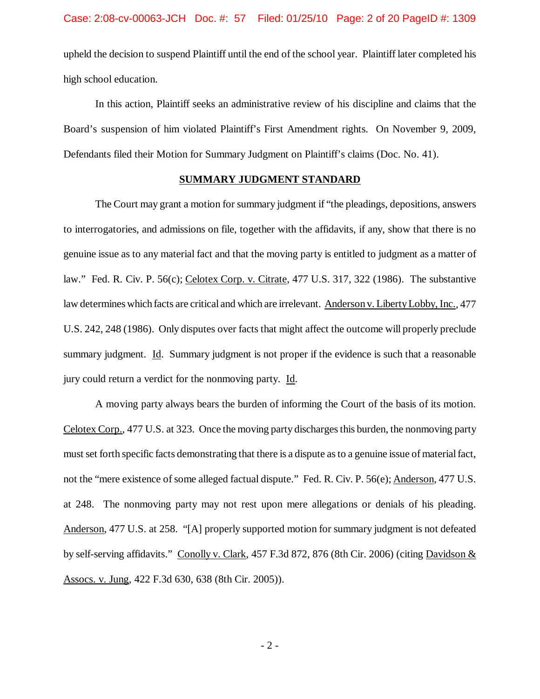upheld the decision to suspend Plaintiff until the end of the school year. Plaintiff later completed his high school education.

In this action, Plaintiff seeks an administrative review of his discipline and claims that the Board's suspension of him violated Plaintiff's First Amendment rights. On November 9, 2009, Defendants filed their Motion for Summary Judgment on Plaintiff's claims (Doc. No. 41).

### **SUMMARY JUDGMENT STANDARD**

The Court may grant a motion for summary judgment if "the pleadings, depositions, answers to interrogatories, and admissions on file, together with the affidavits, if any, show that there is no genuine issue as to any material fact and that the moving party is entitled to judgment as a matter of law." Fed. R. Civ. P. 56(c); Celotex Corp. v. Citrate, 477 U.S. 317, 322 (1986). The substantive law determines which facts are critical and which are irrelevant. Anderson v. LibertyLobby, Inc., 477 U.S. 242, 248 (1986). Only disputes over facts that might affect the outcome will properly preclude summary judgment. Id. Summary judgment is not proper if the evidence is such that a reasonable jury could return a verdict for the nonmoving party. Id.

A moving party always bears the burden of informing the Court of the basis of its motion. Celotex Corp., 477 U.S. at 323. Once the moving party discharges this burden, the nonmoving party must set forth specific facts demonstrating that there is a dispute asto a genuine issue ofmaterialfact, not the "mere existence of some alleged factual dispute." Fed. R. Civ. P. 56(e); Anderson, 477 U.S. at 248. The nonmoving party may not rest upon mere allegations or denials of his pleading. Anderson, 477 U.S. at 258. "[A] properly supported motion for summary judgment is not defeated by self-serving affidavits." Conolly v. Clark, 457 F.3d 872, 876 (8th Cir. 2006) (citing Davidson & Assocs. v. Jung, 422 F.3d 630, 638 (8th Cir. 2005)).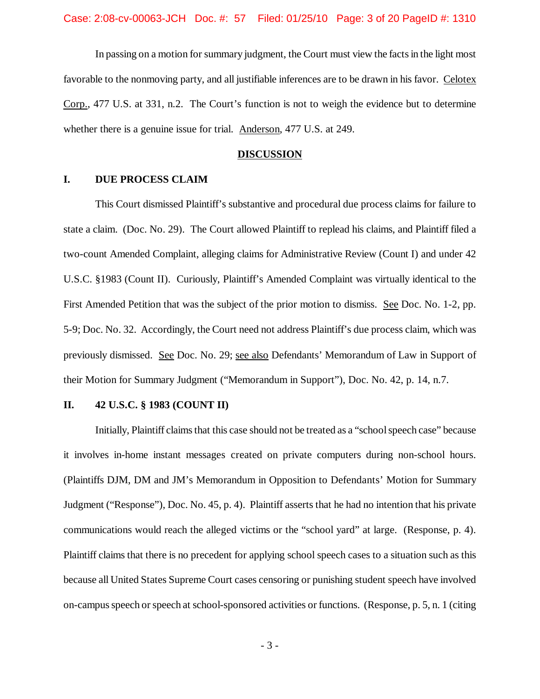In passing on a motion for summary judgment, the Court must view the factsin the light most favorable to the nonmoving party, and all justifiable inferences are to be drawn in his favor. Celotex Corp., 477 U.S. at 331, n.2. The Court's function is not to weigh the evidence but to determine whether there is a genuine issue for trial. Anderson, 477 U.S. at 249.

#### **DISCUSSION**

## **I. DUE PROCESS CLAIM**

This Court dismissed Plaintiff's substantive and procedural due process claims for failure to state a claim. (Doc. No. 29). The Court allowed Plaintiff to replead his claims, and Plaintiff filed a two-count Amended Complaint, alleging claims for Administrative Review (Count I) and under 42 U.S.C. §1983 (Count II).Curiously, Plaintiff's Amended Complaint was virtually identical to the First Amended Petition that was the subject of the prior motion to dismiss. See Doc. No. 1-2, pp. 5-9; Doc. No. 32. Accordingly, the Court need not address Plaintiff's due process claim, which was previously dismissed. See Doc. No. 29; see also Defendants' Memorandum of Law in Support of their Motion for Summary Judgment ("Memorandum in Support"), Doc. No. 42, p. 14, n.7.

# **II. 42 U.S.C. § 1983 (COUNT II)**

Initially, Plaintiff claims that this case should not be treated as a "school speech case" because it involves in-home instant messages created on private computers during non-school hours. (Plaintiffs DJM, DM and JM's Memorandum in Opposition to Defendants' Motion for Summary Judgment ("Response"), Doc. No. 45, p. 4). Plaintiff asserts that he had no intention that his private communications would reach the alleged victims or the "school yard" at large. (Response, p. 4). Plaintiff claims that there is no precedent for applying school speech cases to a situation such as this because all United States Supreme Court cases censoring or punishing student speech have involved on-campus speech or speech at school-sponsored activities or functions. (Response, p. 5, n. 1 (citing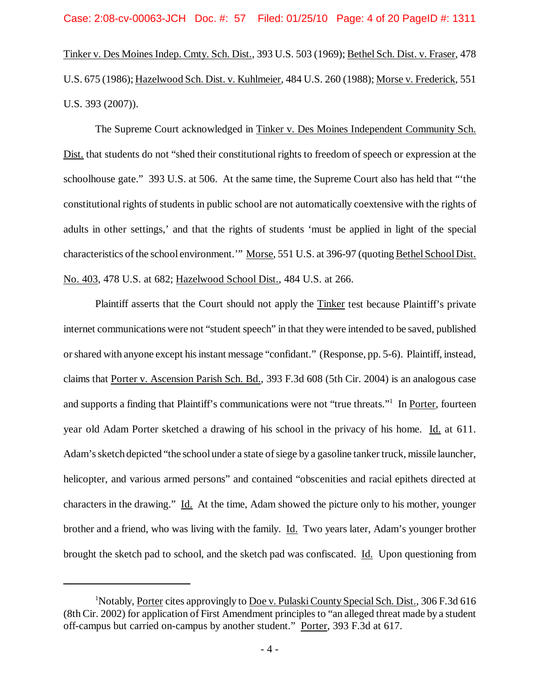Tinker v. Des Moines Indep. Cmty. Sch. Dist., 393 U.S. 503 (1969); Bethel Sch. Dist. v. Fraser, 478 U.S. 675 (1986); Hazelwood Sch. Dist. v. Kuhlmeier, 484 U.S. 260 (1988); Morse v. Frederick, 551 U.S. 393 (2007)).

The Supreme Court acknowledged in Tinker v. Des Moines Independent Community Sch. Dist. that students do not "shed their constitutional rights to freedom of speech or expression at the schoolhouse gate." 393 U.S. at 506. At the same time, the Supreme Court also has held that "'the constitutional rights of students in public school are not automatically coextensive with the rights of adults in other settings,' and that the rights of students 'must be applied in light of the special characteristics of the school environment." Morse, 551 U.S. at 396-97 (quoting Bethel School Dist. No. 403, 478 U.S. at 682; Hazelwood School Dist., 484 U.S. at 266.

Plaintiff asserts that the Court should not apply the Tinker test because Plaintiff's private internet communications were not "student speech" in that theywere intended to be saved, published orshared with anyone except hisinstant message "confidant." (Response, pp. 5-6). Plaintiff, instead, claims that Porter v. Ascension Parish Sch. Bd., 393 F.3d 608 (5th Cir. 2004) is an analogous case and supports a finding that Plaintiff's communications were not "true threats."<sup>1</sup> In Porter, fourteen year old Adam Porter sketched a drawing of his school in the privacy of his home. Id. at 611. Adam's sketch depicted "the school under a state of siege by a gasoline tanker truck, missile launcher, helicopter, and various armed persons" and contained "obscenities and racial epithets directed at characters in the drawing." Id. At the time, Adam showed the picture only to his mother, younger brother and a friend, who was living with the family. Id. Two years later, Adam's younger brother brought the sketch pad to school, and the sketch pad was confiscated. Id. Upon questioning from

<sup>&</sup>lt;sup>1</sup>Notably, Porter cites approvingly to Doe v. Pulaski County Special Sch. Dist., 306 F.3d 616 (8th Cir. 2002) for application of First Amendment principlesto "an alleged threat made by a student off-campus but carried on-campus by another student." Porter, 393 F.3d at 617.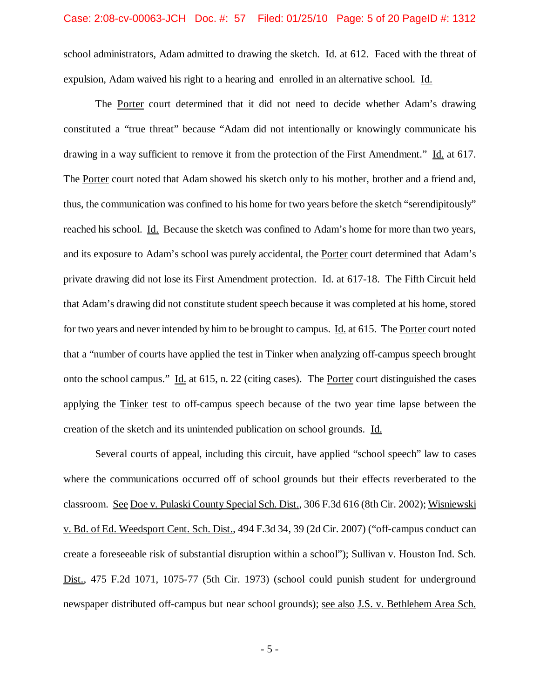school administrators, Adam admitted to drawing the sketch. Id. at 612. Faced with the threat of expulsion. Adam waived his right to a hearing and enrolled in an alternative school. Id.

The Porter court determined that it did not need to decide whether Adam's drawing constituted a "true threat" because "Adam did not intentionally or knowingly communicate his drawing in a way sufficient to remove it from the protection of the First Amendment." Id. at 617. The Porter court noted that Adam showed his sketch only to his mother, brother and a friend and, thus, the communication was confined to his home for two years before the sketch "serendipitously" reached his school. Id. Because the sketch was confined to Adam's home for more than two years, and its exposure to Adam's school was purely accidental, the Porter court determined that Adam's private drawing did not lose its First Amendment protection. Id. at 617-18. The Fifth Circuit held that Adam's drawing did not constitute student speech because it was completed at his home, stored for two years and never intended by himto be brought to campus. Id. at 615. The Porter court noted that a "number of courts have applied the test in Tinker when analyzing off-campus speech brought onto the school campus." Id. at 615, n. 22 (citing cases). The Porter court distinguished the cases applying the Tinker test to off-campus speech because of the two year time lapse between the creation of the sketch and its unintended publication on school grounds. Id.

Several courts of appeal, including this circuit, have applied "school speech" law to cases where the communications occurred off of school grounds but their effects reverberated to the classroom. See Doe v. Pulaski County Special Sch. Dist., 306 F.3d 616 (8th Cir. 2002); Wisniewski v. Bd. of Ed. Weedsport Cent. Sch. Dist., 494 F.3d 34, 39 (2d Cir. 2007) ("off-campus conduct can create a foreseeable risk of substantial disruption within a school"); Sullivan v. Houston Ind. Sch. Dist., 475 F.2d 1071, 1075-77 (5th Cir. 1973) (school could punish student for underground newspaper distributed off-campus but near school grounds); see also J.S. v. Bethlehem Area Sch.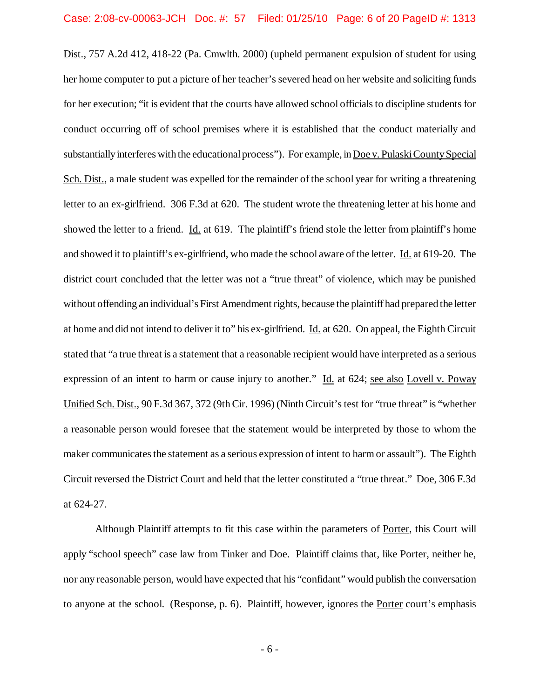Dist., 757 A.2d 412, 418-22 (Pa. Cmwlth. 2000) (upheld permanent expulsion of student for using her home computer to put a picture of her teacher's severed head on her website and soliciting funds for her execution; "it is evident that the courts have allowed school officials to discipline students for conduct occurring off of school premises where it is established that the conduct materially and substantially interferes with the educational process"). For example, in Doe v. Pulaski County Special Sch. Dist., a male student was expelled for the remainder of the school year for writing a threatening letter to an ex-girlfriend. 306 F.3d at 620. The student wrote the threatening letter at his home and showed the letter to a friend. Id. at 619. The plaintiff's friend stole the letter from plaintiff's home and showed it to plaintiff's ex-girlfriend, who made the school aware ofthe letter. Id. at 619-20. The district court concluded that the letter was not a "true threat" of violence, which may be punished without offending an individual's First Amendment rights, because the plaintiff had prepared the letter at home and did not intend to deliver it to" his ex-girlfriend. Id. at 620. On appeal, the Eighth Circuit stated that "a true threat is a statement that a reasonable recipient would have interpreted as a serious expression of an intent to harm or cause injury to another." Id. at 624; see also Lovell v. Poway Unified Sch. Dist., 90 F.3d 367, 372 (9th Cir. 1996) (Ninth Circuit's test for "true threat" is "whether a reasonable person would foresee that the statement would be interpreted by those to whom the maker communicates the statement as a serious expression of intent to harm or assault"). The Eighth Circuit reversed the District Court and held that the letter constituted a "true threat." Doe, 306 F.3d at 624-27.

Although Plaintiff attempts to fit this case within the parameters of Porter, this Court will apply "school speech" case law from Tinker and Doe. Plaintiff claims that, like Porter, neither he, nor any reasonable person, would have expected that his "confidant" would publish the conversation to anyone at the school. (Response, p. 6). Plaintiff, however, ignores the Porter court's emphasis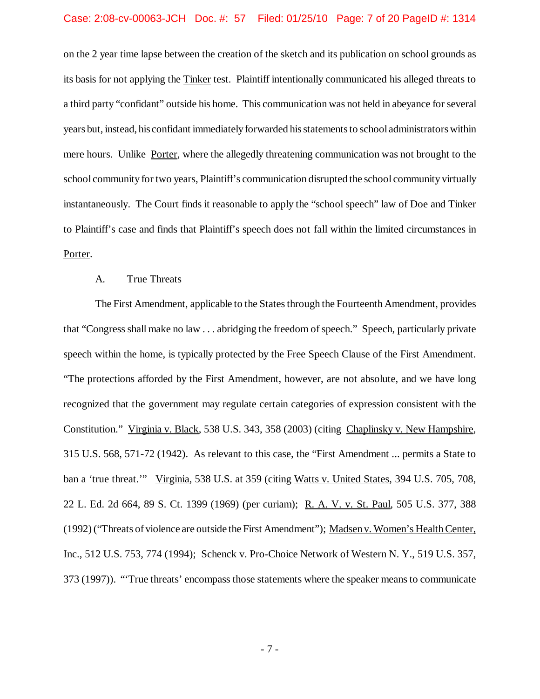#### Case: 2:08-cv-00063-JCH Doc. #: 57 Filed: 01/25/10 Page: 7 of 20 PageID #: 1314

on the 2 year time lapse between the creation of the sketch and its publication on school grounds as its basis for not applying the Tinker test. Plaintiff intentionally communicated his alleged threats to a third party "confidant" outside his home. This communication was not held in abeyance for several years but, instead, his confidant immediately forwarded his statements to school administrators within mere hours. Unlike Porter, where the allegedly threatening communication was not brought to the school community for two years, Plaintiff's communication disrupted the school community virtually instantaneously. The Court finds it reasonable to apply the "school speech" law of Doe and Tinker to Plaintiff's case and finds that Plaintiff's speech does not fall within the limited circumstances in Porter.

## A. True Threats

The First Amendment, applicable to the States through the Fourteenth Amendment, provides that "Congress shall make no law  $\dots$  abridging the freedom of speech." Speech, particularly private speech within the home, is typically protected by the Free Speech Clause of the First Amendment. "The protections afforded by the First Amendment, however, are not absolute, and we have long recognized that the government may regulate certain categories of expression consistent with the Constitution." Virginia v. Black, 538 U.S. 343, 358 (2003) (citing Chaplinsky v. New Hampshire, 315 U.S. 568, 571-72 (1942). As relevant to this case, the "First Amendment ... permits a State to ban a 'true threat.'" Virginia, 538 U.S. at 359 (citing Watts v. United States, 394 U.S. 705, 708, 22 L. Ed. 2d 664, 89 S. Ct. 1399 (1969) (per curiam); R. A. V. v. St. Paul, 505 U.S. 377, 388 (1992) ("Threats of violence are outside the First Amendment"); Madsen v. Women's HealthCenter, Inc., 512 U.S. 753, 774 (1994); Schenck v. Pro-Choice Network of Western N. Y., 519 U.S. 357, 373 (1997)). "'True threats' encompass those statements where the speaker meansto communicate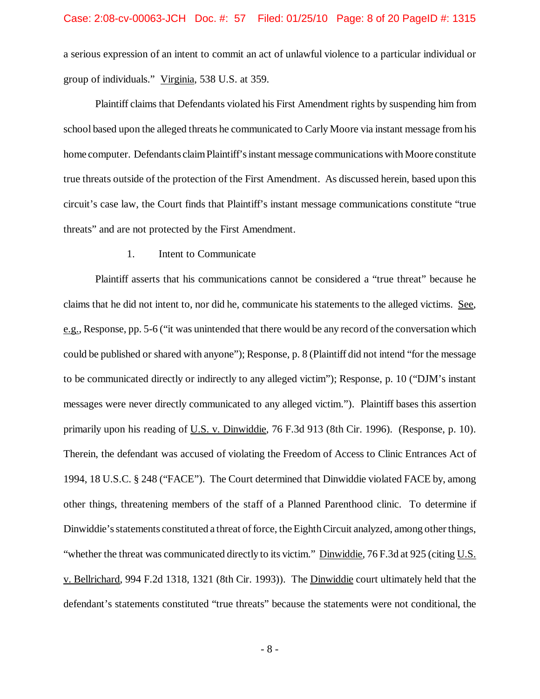a serious expression of an intent to commit an act of unlawful violence to a particular individual or group of individuals." Virginia, 538 U.S. at 359.

Plaintiff claims that Defendants violated his First Amendment rights by suspending him from school based upon the alleged threats he communicated to Carly Moore via instant message from his home computer. Defendants claim Plaintiff's instant message communications with Moore constitute true threats outside of the protection of the First Amendment. As discussed herein, based upon this circuit's case law, the Court finds that Plaintiff's instant message communications constitute "true threats" and are not protected by the First Amendment.

#### 1. Intent to Communicate

Plaintiff asserts that his communications cannot be considered a "true threat" because he claims that he did not intent to, nor did he, communicate his statements to the alleged victims. See, e.g., Response, pp. 5-6 ("it was unintended that there would be any record of the conversation which could be published or shared with anyone"); Response, p. 8 (Plaintiff did not intend "for the message to be communicated directly or indirectly to any alleged victim"); Response, p. 10 ("DJM's instant messages were never directly communicated to any alleged victim."). Plaintiff bases this assertion primarily upon his reading of U.S. v. Dinwiddie, 76 F.3d 913 (8th Cir. 1996). (Response, p. 10). Therein, the defendant was accused of violating the Freedom of Access to Clinic Entrances Act of 1994, 18 U.S.C. § 248 ("FACE"). The Court determined that Dinwiddie violated FACE by, among other things, threatening members of the staff of a Planned Parenthood clinic. To determine if Dinwiddie's statements constituted a threat of force, the Eighth Circuit analyzed, among other things, "whether the threat was communicated directly to its victim." Dinwiddie, 76 F.3d at 925 (citing U.S. v. Bellrichard, 994 F.2d 1318, 1321 (8th Cir. 1993)). The Dinwiddie court ultimately held that the defendant's statements constituted "true threats" because the statements were not conditional, the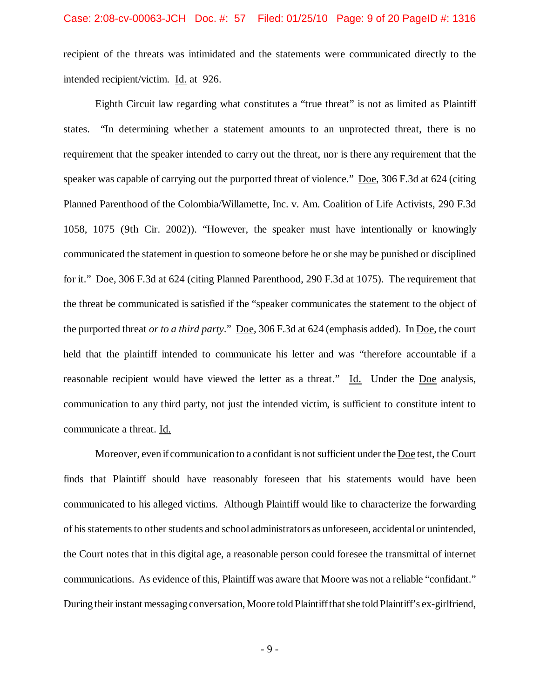recipient of the threats was intimidated and the statements were communicated directly to the intended recipient/victim. Id. at 926.

Eighth Circuit law regarding what constitutes a "true threat" is not as limited as Plaintiff states. "In determining whether a statement amounts to an unprotected threat, there is no requirement that the speaker intended to carry out the threat, nor is there any requirement that the speaker was capable of carrying out the purported threat of violence." Doe, 306 F.3d at 624 (citing Planned Parenthood of the Colombia/Willamette, Inc. v. Am. Coalition of Life Activists, 290 F.3d 1058, 1075 (9th Cir. 2002)). "However, the speaker must have intentionally or knowingly communicated the statement in question to someone before he or she may be punished or disciplined for it." Doe, 306 F.3d at 624 (citing Planned Parenthood, 290 F.3d at 1075). The requirement that the threat be communicated is satisfied if the "speaker communicates the statement to the object of the purported threat *or to a third party*." Doe, 306 F.3d at 624 (emphasis added). In Doe, the court held that the plaintiff intended to communicate his letter and was "therefore accountable if a reasonable recipient would have viewed the letter as a threat." Id. Under the Doe analysis, communication to any third party, not just the intended victim, is sufficient to constitute intent to communicate a threat. Id.

Moreover, even if communication to a confidant is notsufficient under the Doe test, the Court finds that Plaintiff should have reasonably foreseen that his statements would have been communicated to his alleged victims. Although Plaintiff would like to characterize the forwarding of his statements to other students and school administrators as unforeseen, accidental or unintended, the Court notes that in this digital age, a reasonable person could foresee the transmittal of internet communications. As evidence of this, Plaintiff was aware that Moore was not a reliable "confidant." During their instant messaging conversation, Moore told Plaintiff that she told Plaintiff's ex-girlfriend,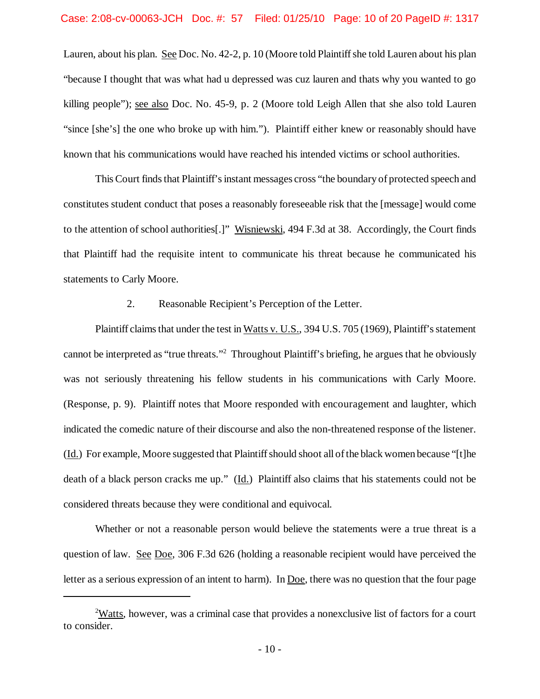Lauren, about his plan. See Doc. No. 42-2, p. 10 (Moore told Plaintiff she told Lauren about his plan "because I thought that was what had u depressed was cuz lauren and thats why you wanted to go killing people"); see also Doc. No. 45-9, p. 2 (Moore told Leigh Allen that she also told Lauren "since [she's] the one who broke up with him."). Plaintiff either knew or reasonably should have known that his communications would have reached his intended victims or school authorities.

This Court finds that Plaintiff's instant messages cross "the boundary of protected speech and constitutes student conduct that poses a reasonably foreseeable risk that the [message] would come to the attention of school authorities[.]" Wisniewski, 494 F.3d at 38. Accordingly, the Court finds that Plaintiff had the requisite intent to communicate his threat because he communicated his statements to Carly Moore.

## 2. Reasonable Recipient's Perception of the Letter.

Plaintiff claims that under the test in Watts v. U.S., 394 U.S. 705 (1969), Plaintiff's statement cannot be interpreted as "true threats."<sup>2</sup> Throughout Plaintiff's briefing, he argues that he obviously was not seriously threatening his fellow students in his communications with Carly Moore. (Response, p. 9). Plaintiff notes that Moore responded with encouragement and laughter, which indicated the comedic nature of their discourse and also the non-threatened response of the listener. (Id.) For example, Moore suggested that Plaintiffshould shoot all ofthe black women because "[t]he death of a black person cracks me up." (Id.) Plaintiff also claims that his statements could not be considered threats because they were conditional and equivocal.

Whether or not a reasonable person would believe the statements were a true threat is a question of law. See Doe, 306 F.3d 626 (holding a reasonable recipient would have perceived the letter as a serious expression of an intent to harm). In Doe, there was no question that the four page

<sup>&</sup>lt;sup>2</sup>Watts, however, was a criminal case that provides a nonexclusive list of factors for a court to consider.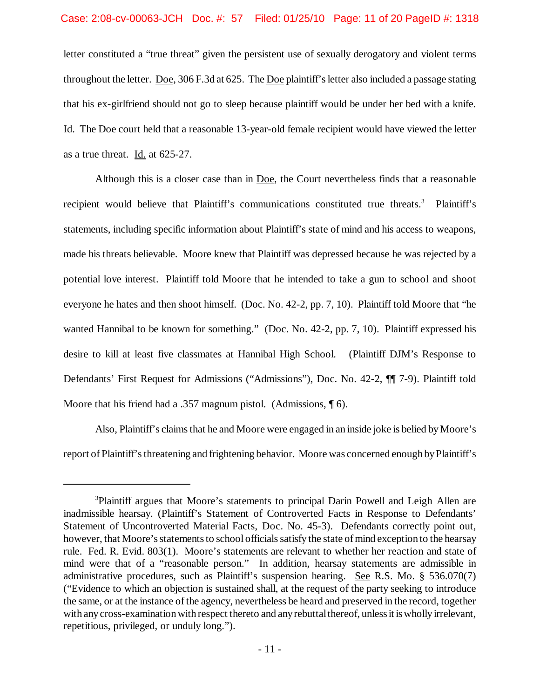letter constituted a "true threat" given the persistent use of sexually derogatory and violent terms throughout the letter. Doe, 306 F.3d at 625. The Doe plaintiff'sletter also included a passage stating that his ex-girlfriend should not go to sleep because plaintiff would be under her bed with a knife. Id. The Doe court held that a reasonable 13-year-old female recipient would have viewed the letter as a true threat. Id. at 625-27.

Although this is a closer case than in Doe, the Court nevertheless finds that a reasonable recipient would believe that Plaintiff's communications constituted true threats.<sup>3</sup> Plaintiff's statements, including specific information about Plaintiff's state of mind and his access to weapons, made his threats believable. Moore knew that Plaintiff was depressed because he was rejected by a potential love interest. Plaintiff told Moore that he intended to take a gun to school and shoot everyone he hates and then shoot himself. (Doc. No. 42-2, pp. 7, 10). Plaintiff told Moore that "he wanted Hannibal to be known for something." (Doc. No. 42-2, pp. 7, 10). Plaintiff expressed his desire to kill at least five classmates at Hannibal High School. (Plaintiff DJM's Response to Defendants' First Request for Admissions ("Admissions"), Doc. No. 42-2, ¶¶ 7-9). Plaintiff told Moore that his friend had a .357 magnum pistol. (Admissions,  $\P$  6).

Also, Plaintiff's claimsthat he and Moore were engaged in an inside joke is belied byMoore's report of Plaintiff's threatening and frightening behavior. Moore was concerned enough by Plaintiff's

<sup>3</sup>Plaintiff argues that Moore's statements to principal Darin Powell and Leigh Allen are inadmissible hearsay. (Plaintiff's Statement of Controverted Facts in Response to Defendants' Statement of Uncontroverted Material Facts, Doc. No. 45-3). Defendants correctly point out, however, that Moore's statements to school officials satisfy the state of mind exception to the hearsay rule. Fed. R. Evid. 803(1). Moore's statements are relevant to whether her reaction and state of mind were that of a "reasonable person." In addition, hearsay statements are admissible in administrative procedures, such as Plaintiff's suspension hearing. See R.S. Mo. § 536.070(7) ("Evidence to which an objection is sustained shall, at the request of the party seeking to introduce the same, or at the instance of the agency, nevertheless be heard and preserved in the record, together with any cross-examination with respect thereto and any rebuttal thereof, unless it is wholly irrelevant, repetitious, privileged, or unduly long.").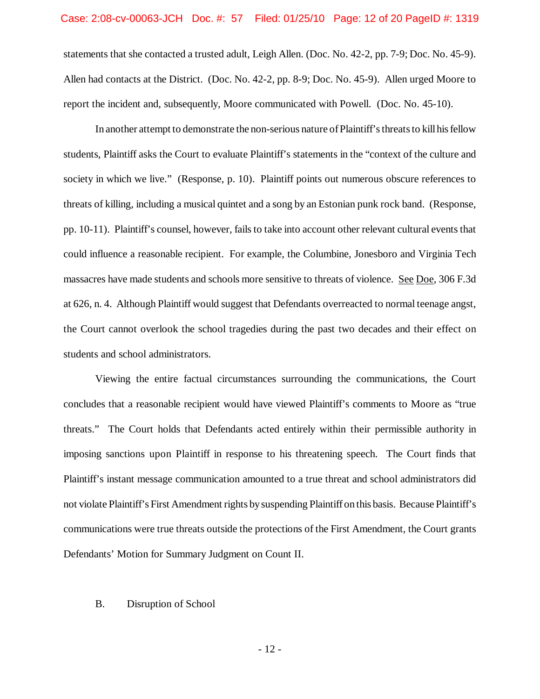statements that she contacted a trusted adult, Leigh Allen. (Doc. No. 42-2, pp. 7-9; Doc. No. 45-9). Allen had contacts at the District. (Doc. No. 42-2, pp. 8-9; Doc. No. 45-9). Allen urged Moore to report the incident and, subsequently, Moore communicated with Powell. (Doc. No. 45-10).

In another attempt to demonstrate the non-serious nature of Plaintiff's threats to kill his fellow students, Plaintiff asks the Court to evaluate Plaintiff's statements in the "context of the culture and society in which we live." (Response, p. 10). Plaintiff points out numerous obscure references to threats of killing, including a musical quintet and a song by an Estonian punk rock band. (Response, pp. 10-11). Plaintiff's counsel, however, fails to take into account other relevant cultural events that could influence a reasonable recipient. For example, the Columbine, Jonesboro and Virginia Tech massacres have made students and schools more sensitive to threats of violence. See Doe, 306 F.3d at 626, n. 4. Although Plaintiff would suggest that Defendants overreacted to normal teenage angst, the Court cannot overlook the school tragedies during the past two decades and their effect on students and school administrators.

Viewing the entire factual circumstances surrounding the communications, the Court concludes that a reasonable recipient would have viewed Plaintiff's comments to Moore as "true threats." The Court holds that Defendants acted entirely within their permissible authority in imposing sanctions upon Plaintiff in response to his threatening speech. The Court finds that Plaintiff's instant message communication amounted to a true threat and school administrators did not violate Plaintiff's First Amendment rights bysuspending Plaintiff on this basis. Because Plaintiff's communications were true threats outside the protections of the First Amendment, the Court grants Defendants' Motion for Summary Judgment on Count II.

### B. Disruption of School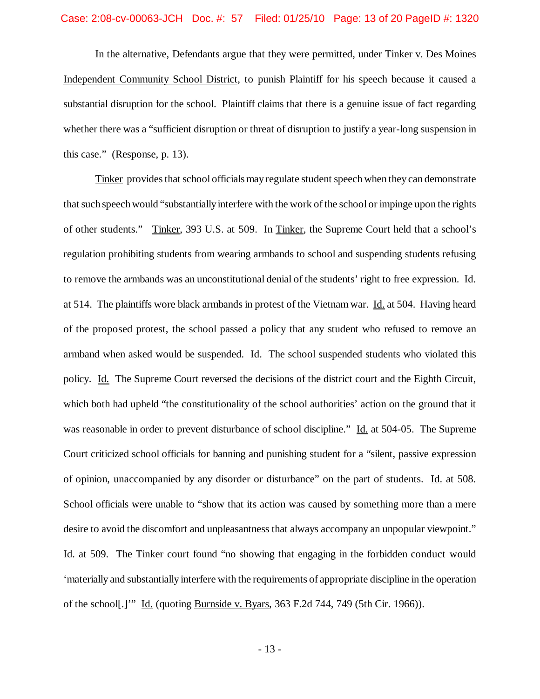In the alternative, Defendants argue that they were permitted, under Tinker v. Des Moines Independent Community School District, to punish Plaintiff for his speech because it caused a substantial disruption for the school. Plaintiff claims that there is a genuine issue of fact regarding whether there was a "sufficient disruption or threat of disruption to justify a year-long suspension in this case." (Response, p. 13).

Tinker provides that school officials may regulate student speech when they can demonstrate that such speech would "substantially interfere with the work of the school or impinge upon the rights of other students." Tinker, 393 U.S. at 509. In Tinker, the Supreme Court held that a school's regulation prohibiting students from wearing armbands to school and suspending students refusing to remove the armbands was an unconstitutional denial of the students' right to free expression. Id. at 514. The plaintiffs wore black armbands in protest of the Vietnam war. Id. at 504. Having heard of the proposed protest, the school passed a policy that any student who refused to remove an armband when asked would be suspended. Id. The school suspended students who violated this policy. Id. The Supreme Court reversed the decisions of the district court and the Eighth Circuit, which both had upheld "the constitutionality of the school authorities' action on the ground that it was reasonable in order to prevent disturbance of school discipline." Id. at 504-05. The Supreme Court criticized school officials for banning and punishing student for a "silent, passive expression of opinion, unaccompanied by any disorder or disturbance" on the part of students. Id. at 508. School officials were unable to "show that its action was caused by something more than a mere desire to avoid the discomfort and unpleasantness that always accompany an unpopular viewpoint." Id. at 509. The Tinker court found "no showing that engaging in the forbidden conduct would 'materially and substantially interfere with the requirements of appropriate discipline in the operation of the school[.]'" Id. (quoting Burnside v. Byars, 363 F.2d 744, 749 (5th Cir. 1966)).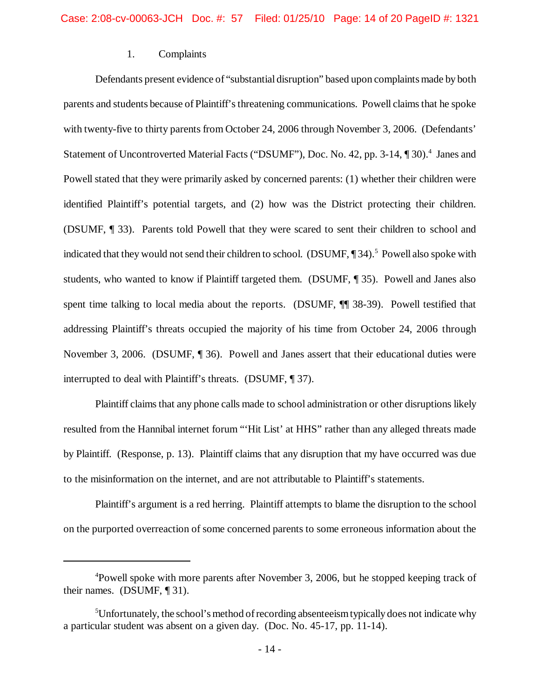## 1. Complaints

Defendants present evidence of "substantial disruption" based upon complaints made by both parents and students because of Plaintiff's threatening communications. Powell claims that he spoke with twenty-five to thirty parents from October 24, 2006 through November 3, 2006. (Defendants' Statement of Uncontroverted Material Facts ("DSUMF"), Doc. No. 42, pp. 3-14, ¶30).<sup>4</sup> Janes and Powell stated that they were primarily asked by concerned parents: (1) whether their children were identified Plaintiff's potential targets, and (2) how was the District protecting their children. (DSUMF, ¶ 33). Parents told Powell that they were scared to sent their children to school and indicated that they would not send their children to school. (DSUMF, 134).<sup>5</sup> Powell also spoke with students, who wanted to know if Plaintiff targeted them. (DSUMF, ¶ 35). Powell and Janes also spent time talking to local media about the reports. (DSUMF,  $\P$  38-39). Powell testified that addressing Plaintiff's threats occupied the majority of his time from October 24, 2006 through November 3, 2006. (DSUMF, ¶ 36). Powell and Janes assert that their educational duties were interrupted to deal with Plaintiff's threats. (DSUMF, ¶ 37).

Plaintiff claims that any phone calls made to school administration or other disruptions likely resulted from the Hannibal internet forum "'Hit List' at HHS" rather than any alleged threats made by Plaintiff. (Response, p. 13). Plaintiff claims that any disruption that my have occurred was due to the misinformation on the internet, and are not attributable to Plaintiff's statements.

Plaintiff's argument is a red herring. Plaintiff attempts to blame the disruption to the school on the purported overreaction of some concerned parents to some erroneous information about the

<sup>&</sup>lt;sup>4</sup>Powell spoke with more parents after November 3, 2006, but he stopped keeping track of their names. (DSUMF, ¶ 31).

 $5$ Unfortunately, the school's method of recording absenteeism typically does not indicate why a particular student was absent on a given day. (Doc. No. 45-17, pp. 11-14).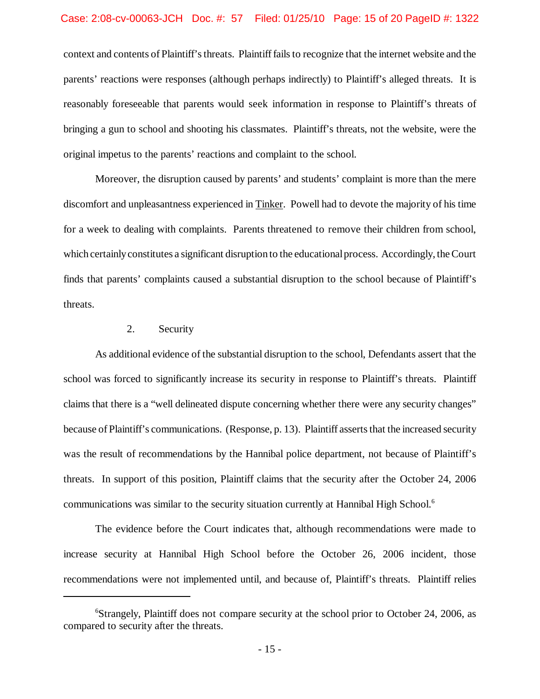### Case: 2:08-cv-00063-JCH Doc. #: 57 Filed: 01/25/10 Page: 15 of 20 PageID #: 1322

context and contents of Plaintiff's threats. Plaintiff fails to recognize that the internet website and the parents' reactions were responses (although perhaps indirectly) to Plaintiff's alleged threats. It is reasonably foreseeable that parents would seek information in response to Plaintiff's threats of bringing a gun to school and shooting his classmates. Plaintiff's threats, not the website, were the original impetus to the parents' reactions and complaint to the school.

Moreover, the disruption caused by parents' and students' complaint is more than the mere discomfort and unpleasantness experienced in Tinker. Powell had to devote the majority of his time for a week to dealing with complaints. Parents threatened to remove their children from school, which certainly constitutes a significant disruption to the educational process. Accordingly, the Court finds that parents' complaints caused a substantial disruption to the school because of Plaintiff's threats.

### 2. Security

As additional evidence of the substantial disruption to the school, Defendants assert that the school was forced to significantly increase its security in response to Plaintiff's threats. Plaintiff claims that there is a "well delineated dispute concerning whether there were any security changes" because of Plaintiff's communications. (Response, p. 13). Plaintiff asserts that the increased security was the result of recommendations by the Hannibal police department, not because of Plaintiff's threats. In support of this position, Plaintiff claims that the security after the October 24, 2006 communications was similar to the security situation currently at Hannibal High School.<sup>6</sup>

The evidence before the Court indicates that, although recommendations were made to increase security at Hannibal High School before the October 26, 2006 incident, those recommendations were not implemented until, and because of, Plaintiff's threats. Plaintiff relies

<sup>6</sup>Strangely, Plaintiff does not compare security at the school prior to October 24, 2006, as compared to security after the threats.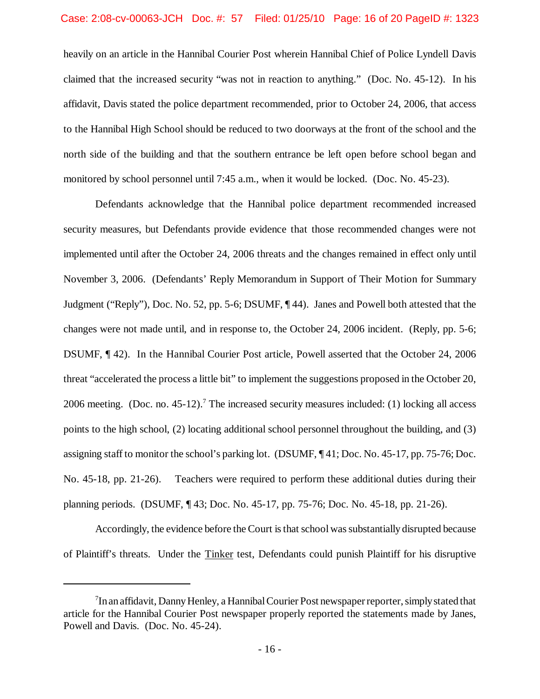## Case: 2:08-cv-00063-JCH Doc. #: 57 Filed: 01/25/10 Page: 16 of 20 PageID #: 1323

heavily on an article in the Hannibal Courier Post wherein Hannibal Chief of Police Lyndell Davis claimed that the increased security "was not in reaction to anything." (Doc. No. 45-12). In his affidavit, Davis stated the police department recommended, prior to October 24, 2006, that access to the Hannibal High School should be reduced to two doorways at the front of the school and the north side of the building and that the southern entrance be left open before school began and monitored by school personnel until 7:45 a.m., when it would be locked. (Doc. No. 45-23).

Defendants acknowledge that the Hannibal police department recommended increased security measures, but Defendants provide evidence that those recommended changes were not implemented until after the October 24, 2006 threats and the changes remained in effect only until November 3, 2006. (Defendants' Reply Memorandum in Support of Their Motion for Summary Judgment ("Reply"), Doc. No. 52, pp. 5-6; DSUMF, ¶ 44). Janes and Powell both attested that the changes were not made until, and in response to, the October 24, 2006 incident. (Reply, pp. 5-6; DSUMF, ¶ 42). In the Hannibal Courier Post article, Powell asserted that the October 24, 2006 threat "accelerated the process a little bit" to implement the suggestions proposed in the October 20, 2006 meeting. (Doc. no. 45-12).<sup>7</sup> The increased security measures included: (1) locking all access points to the high school, (2) locating additional school personnel throughout the building, and (3) assigning staff to monitor the school's parking lot. (DSUMF, ¶ 41; Doc. No. 45-17, pp. 75-76; Doc. No. 45-18, pp. 21-26). Teachers were required to perform these additional duties during their planning periods. (DSUMF, ¶ 43; Doc. No. 45-17, pp. 75-76; Doc. No. 45-18, pp. 21-26).

Accordingly, the evidence before the Court is that school was substantially disrupted because of Plaintiff's threats. Under the Tinker test, Defendants could punish Plaintiff for his disruptive

 $7$ In an affidavit, Danny Henley, a Hannibal Courier Post newspaper reporter, simply stated that article for the Hannibal Courier Post newspaper properly reported the statements made by Janes, Powell and Davis. (Doc. No. 45-24).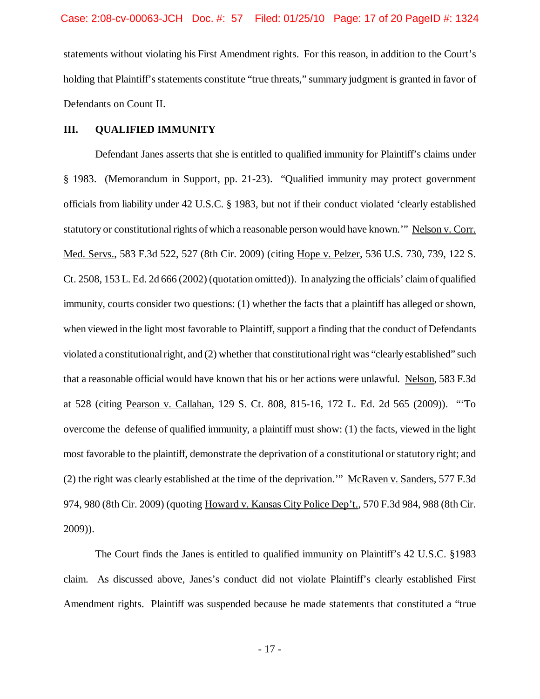statements without violating his First Amendment rights. For this reason, in addition to the Court's holding that Plaintiff's statements constitute "true threats," summary judgment is granted in favor of Defendants on Count II.

### **III. QUALIFIED IMMUNITY**

Defendant Janes asserts that she is entitled to qualified immunity for Plaintiff's claims under § 1983. (Memorandum in Support, pp. 21-23). "Qualified immunity may protect government officials from liability under 42 U.S.C. § 1983, but not if their conduct violated 'clearly established statutory or constitutional rights of which a reasonable person would have known."" Nelson v. Corr. Med. Servs., 583 F.3d 522, 527 (8th Cir. 2009) (citing Hope v. Pelzer, 536 U.S. 730, 739, 122 S. Ct. 2508, 153 L. Ed. 2d 666 (2002) (quotation omitted)). In analyzing the officials' claimof qualified immunity, courts consider two questions: (1) whether the facts that a plaintiff has alleged or shown, when viewed in the light most favorable to Plaintiff, support a finding that the conduct of Defendants violated a constitutional right, and (2) whether that constitutional right was "clearly established" such that a reasonable official would have known that his or her actions were unlawful. Nelson, 583 F.3d at 528 (citing Pearson v. Callahan, 129 S. Ct. 808, 815-16, 172 L. Ed. 2d 565 (2009)). "'To overcome the defense of qualified immunity, a plaintiff must show: (1) the facts, viewed in the light most favorable to the plaintiff, demonstrate the deprivation of a constitutional or statutory right; and (2) the right was clearly established at the time of the deprivation.'" McRaven v. Sanders, 577 F.3d 974, 980 (8th Cir. 2009) (quoting Howard v. Kansas City Police Dep't., 570 F.3d 984, 988 (8th Cir. 2009)).

The Court finds the Janes is entitled to qualified immunity on Plaintiff's 42 U.S.C. §1983 claim. As discussed above, Janes's conduct did not violate Plaintiff's clearly established First Amendment rights. Plaintiff was suspended because he made statements that constituted a "true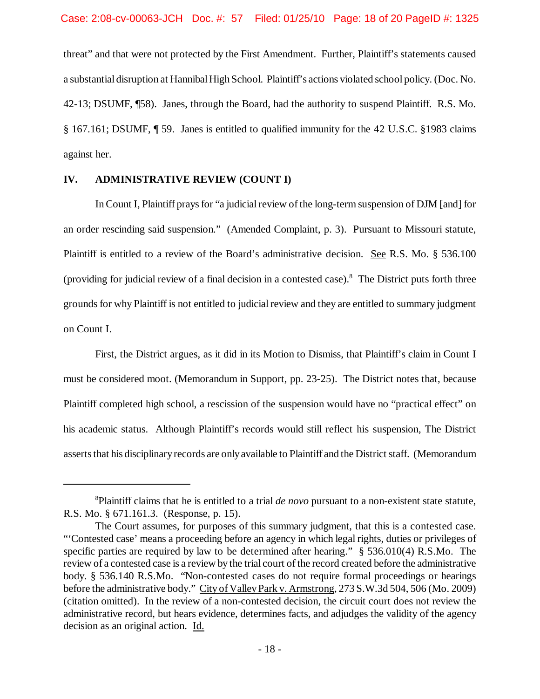threat" and that were not protected by the First Amendment. Further, Plaintiff's statements caused a substantial disruption at Hannibal High School. Plaintiff's actions violated school policy. (Doc. No. 42-13; DSUMF, ¶58). Janes, through the Board, had the authority to suspend Plaintiff. R.S. Mo. § 167.161; DSUMF, ¶ 59. Janes is entitled to qualified immunity for the 42 U.S.C. §1983 claims against her.

## **IV. ADMINISTRATIVE REVIEW (COUNT I)**

In Count I, Plaintiff prays for "a judicial review of the long-term suspension of DJM [and] for an order rescinding said suspension." (Amended Complaint, p. 3). Pursuant to Missouri statute, Plaintiff is entitled to a review of the Board's administrative decision. See R.S. Mo. § 536.100 (providing for judicial review of a final decision in a contested case).<sup>8</sup> The District puts forth three grounds for why Plaintiff is not entitled to judicial review and they are entitled to summary judgment on Count I.

First, the District argues, as it did in its Motion to Dismiss, that Plaintiff's claim in Count I must be considered moot. (Memorandum in Support, pp. 23-25). The District notes that, because Plaintiff completed high school, a rescission of the suspension would have no "practical effect" on his academic status. Although Plaintiff's records would still reflect his suspension, The District assertsthat his disciplinaryrecords are onlyavailable to Plaintiff and the District staff. (Memorandum

<sup>8</sup>Plaintiff claims that he is entitled to a trial *de novo* pursuant to a non-existent state statute, R.S. Mo. § 671.161.3. (Response, p. 15).

The Court assumes, for purposes of this summary judgment, that this is a contested case. "'Contested case' means a proceeding before an agency in which legal rights, duties or privileges of specific parties are required by law to be determined after hearing." § 536.010(4) R.S.Mo. The review of a contested case is a review by the trial court of the record created before the administrative body. § 536.140 R.S.Mo. "Non-contested cases do not require formal proceedings or hearings before the administrative body." City of ValleyPark v. Armstrong, 273 S.W.3d 504, 506 (Mo. 2009) (citation omitted). In the review of a non-contested decision, the circuit court does not review the administrative record, but hears evidence, determines facts, and adjudges the validity of the agency decision as an original action. Id.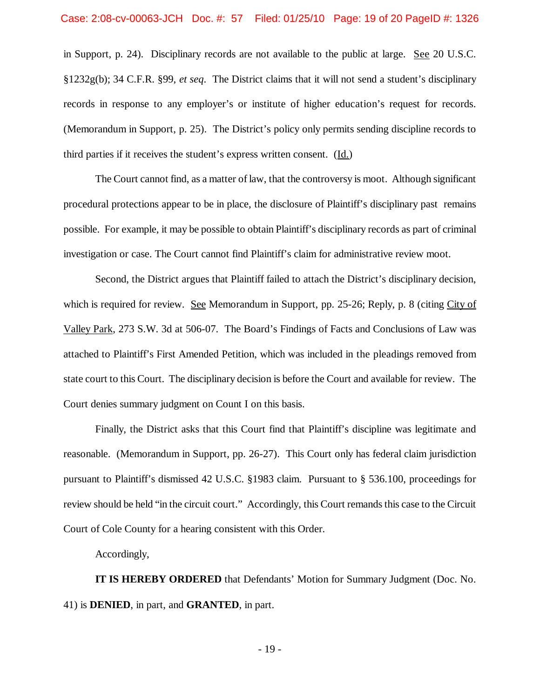in Support, p. 24). Disciplinary records are not available to the public at large. See 20 U.S.C. §1232g(b); 34 C.F.R. §99, *et seq*. The District claims that it will not send a student's disciplinary records in response to any employer's or institute of higher education's request for records. (Memorandum in Support, p. 25). The District's policy only permits sending discipline records to third parties if it receives the student's express written consent. (Id.)

The Court cannot find, as a matter of law, that the controversy is moot. Although significant procedural protections appear to be in place, the disclosure of Plaintiff's disciplinary past remains possible. For example, it may be possible to obtain Plaintiff's disciplinary records as part of criminal investigation or case. The Court cannot find Plaintiff's claim for administrative review moot.

Second, the District argues that Plaintiff failed to attach the District's disciplinary decision, which is required for review. See Memorandum in Support, pp. 25-26; Reply, p. 8 (citing City of Valley Park, 273 S.W. 3d at 506-07. The Board's Findings of Facts and Conclusions of Law was attached to Plaintiff's First Amended Petition, which was included in the pleadings removed from state court to this Court. The disciplinary decision is before the Court and available for review. The Court denies summary judgment on Count I on this basis.

Finally, the District asks that this Court find that Plaintiff's discipline was legitimate and reasonable. (Memorandum in Support, pp. 26-27). This Court only has federal claim jurisdiction pursuant to Plaintiff's dismissed 42 U.S.C. §1983 claim. Pursuant to § 536.100, proceedings for review should be held "in the circuit court." Accordingly, this Court remands this case to the Circuit Court of Cole County for a hearing consistent with this Order.

Accordingly,

**IT IS HEREBY ORDERED** that Defendants' Motion for Summary Judgment (Doc. No. 41) is **DENIED**, in part, and **GRANTED**, in part.